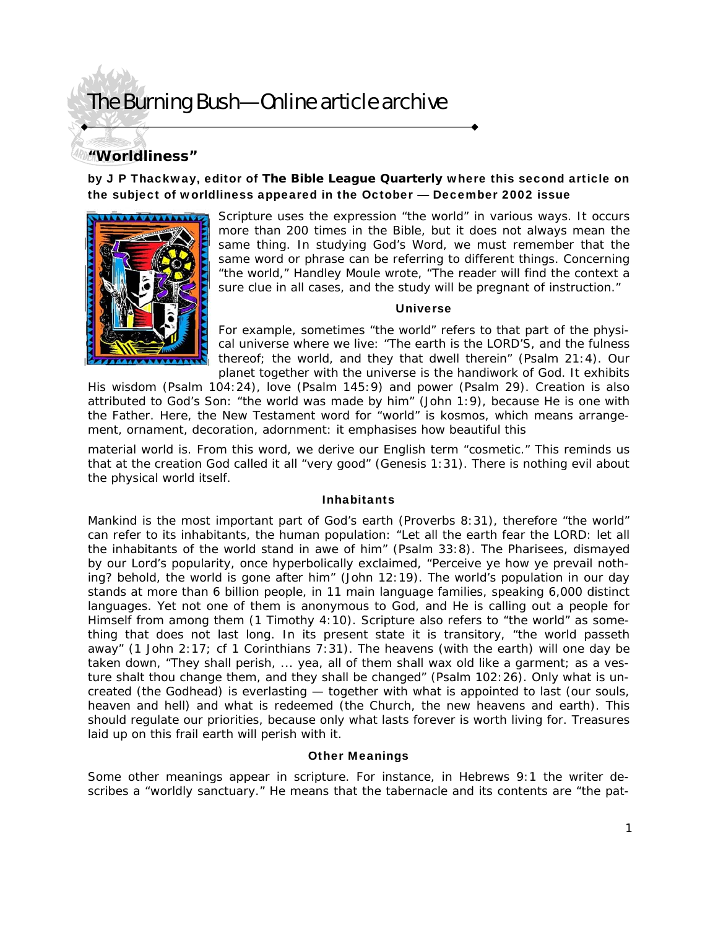## **"Worldliness"**

### by J P Thackway, editor of *The Bible League Quarterly* where this second article on the subject of worldliness appeared in the October — December 2002 issue



Scripture uses the expression "the world" in various ways. It occurs more than 200 times in the Bible, but it does not always mean the same thing. In studying God's Word, we must remember that the same word or phrase can be referring to different things. Concerning "the world," Handley Moule wrote, "The reader will find the context a sure clue in all cases, and the study will be pregnant of instruction."

#### Universe

For example, sometimes "the world" refers to that part of the physical universe where we live: "The earth is the LORD'S, and the fulness thereof; the world, and they that dwell therein" (Psalm 21:4). Our planet together with the universe is the handiwork of God. It exhibits

His wisdom (Psalm 104:24), love (Psalm 145:9) and power (Psalm 29). Creation is also attributed to God's Son: "the world was made by him" (John 1:9), because He is one with the Father. Here, the New Testament word for "world" is kosmos, which means arrangement, ornament, decoration, adornment: it emphasises how beautiful this

material world is. From this word, we derive our English term "cosmetic." This reminds us that at the creation God called it all "very good" (Genesis 1:31). There is nothing evil about the physical world itself.

#### **Inhabitants**

Mankind is the most important part of God's earth (Proverbs 8:31), therefore "the world" can refer to its inhabitants, the human population: "Let all the earth fear the LORD: let all the inhabitants of the world stand in awe of him" (Psalm 33:8). The Pharisees, dismayed by our Lord's popularity, once hyperbolically exclaimed, "Perceive ye how ye prevail nothing? behold, the world is gone after him" (John 12:19). The world's population in our day stands at more than 6 billion people, in 11 main language families, speaking 6,000 distinct languages. Yet not one of them is anonymous to God, and He is calling out a people for Himself from among them (1 Timothy 4:10). Scripture also refers to "the world" as something that does not last long. In its present state it is transitory, "the world passeth away" (1 John  $2:17$ ; cf 1 Corinthians 7:31). The heavens (with the earth) will one day be taken down, "They shall perish, ... yea, all of them shall wax old like a garment; as a vesture shalt thou change them, and they shall be changed" (Psalm 102:26). Only what is uncreated (the Godhead) is everlasting — together with what is appointed to last (our souls, heaven and hell) and what is redeemed (the Church, the new heavens and earth). This should regulate our priorities, because only what lasts forever is worth living for. Treasures laid up on this frail earth will perish with it.

#### Other Meanings

Some other meanings appear in scripture. For instance, in Hebrews 9:1 the writer describes a "worldly sanctuary." He means that the tabernacle and its contents are "the pat-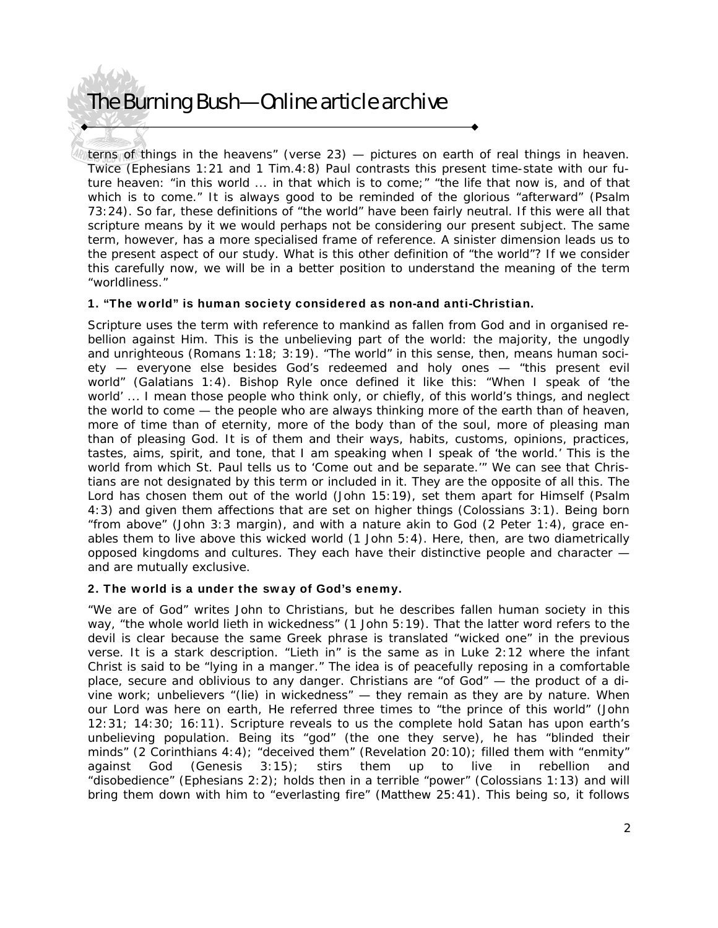terns of things in the heavens" (verse 23) — pictures on earth of real things in heaven. Twice (Ephesians 1:21 and 1 Tim.4:8) Paul contrasts this present time-state with our future heaven: "in this world ... in that which is to come;" "the life that now is, and of that which is to come." It is always good to be reminded of the glorious "afterward" (Psalm 73:24). So far, these definitions of "the world" have been fairly neutral. If this were all that scripture means by it we would perhaps not be considering our present subject. The same term, however, has a more specialised frame of reference. A sinister dimension leads us to the present aspect of our study. What is this other definition of "the world"? If we consider this carefully now, we will be in a better position to understand the meaning of the term "worldliness."

### 1. "The world" is human society considered as non-and anti-Christian.

Scripture uses the term with reference to mankind as fallen from God and in organised rebellion against Him. This is the unbelieving part of the world: the majority, the ungodly and unrighteous (Romans 1:18; 3:19). "The world" in this sense, then, means human society — everyone else besides God's redeemed and holy ones — "this present evil world" (Galatians 1:4). Bishop Ryle once defined it like this: "When I speak of 'the world' ... I mean those people who think only, or chiefly, of this world's things, and neglect the world to come — the people who are always thinking more of the earth than of heaven, more of time than of eternity, more of the body than of the soul, more of pleasing man than of pleasing God. It is of them and their ways, habits, customs, opinions, practices, tastes, aims, spirit, and tone, that I am speaking when I speak of 'the world.' This is the world from which St. Paul tells us to 'Come out and be separate.'" We can see that Christians are not designated by this term or included in it. They are the opposite of all this. The Lord has chosen them out of the world (John 15:19), set them apart for Himself (Psalm 4:3) and given them affections that are set on higher things (Colossians 3:1). Being born "from above" (John 3:3 margin), and with a nature akin to God (2 Peter 1:4), grace enables them to live above this wicked world (1 John 5:4). Here, then, are two diametrically opposed kingdoms and cultures. They each have their distinctive people and character and are mutually exclusive.

### 2. The world is a under the sway of God's enemy.

"We are of God" writes John to Christians, but he describes fallen human society in this way, "the whole world lieth in wickedness" (1 John 5:19). That the latter word refers to the devil is clear because the same Greek phrase is translated "wicked one" in the previous verse. It is a stark description. "Lieth in" is the same as in Luke 2:12 where the infant Christ is said to be "lying in a manger." The idea is of peacefully reposing in a comfortable place, secure and oblivious to any danger. Christians are "of God" — the product of a divine work; unbelievers "(lie) in wickedness" — they remain as they are by nature. When our Lord was here on earth, He referred three times to "the prince of this world" (John 12:31; 14:30; 16:11). Scripture reveals to us the complete hold Satan has upon earth's unbelieving population. Being its "god" (the one they serve), he has "blinded their minds" (2 Corinthians 4:4); "deceived them" (Revelation 20:10); filled them with "enmity" against God (Genesis 3:15); stirs them up to live in rebellion and "disobedience" (Ephesians 2:2); holds then in a terrible "power" (Colossians 1:13) and will bring them down with him to "everlasting fire" (Matthew 25:41). This being so, it follows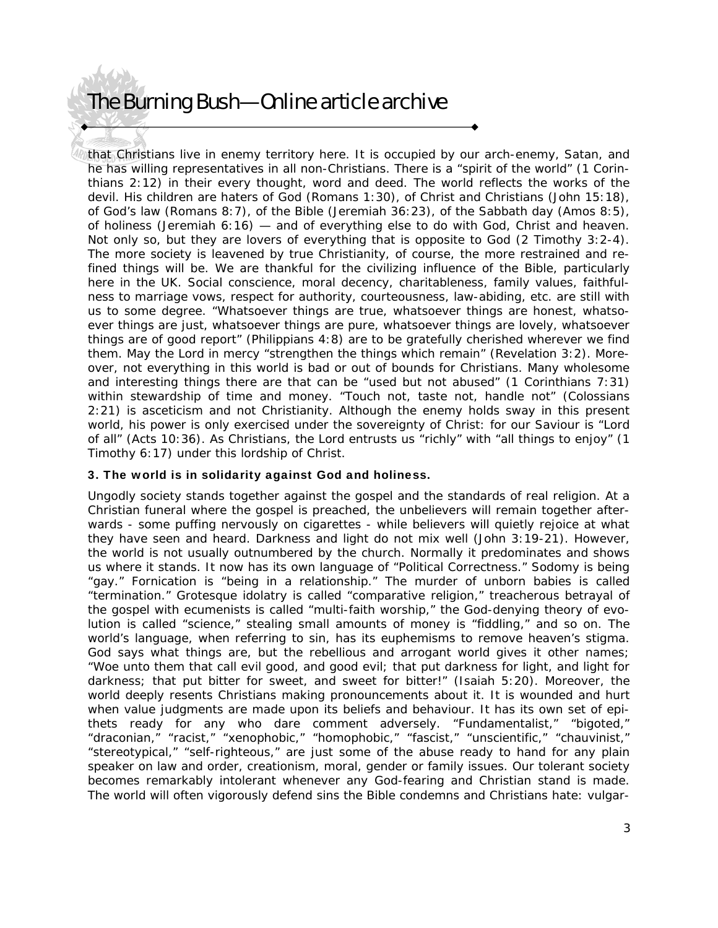that Christians live in enemy territory here. It is occupied by our arch-enemy, Satan, and he has willing representatives in all non-Christians. There is a "spirit of the world" (1 Corinthians 2:12) in their every thought, word and deed. The world reflects the works of the devil. His children are haters of God (Romans 1:30), of Christ and Christians (John 15:18), of God's law (Romans 8:7), of the Bible (Jeremiah 36:23), of the Sabbath day (Amos 8:5), of holiness (Jeremiah  $6:16$ ) — and of everything else to do with God, Christ and heaven. Not only so, but they are lovers of everything that is opposite to God (2 Timothy 3:2-4). The more society is leavened by true Christianity, of course, the more restrained and refined things will be. We are thankful for the civilizing influence of the Bible, particularly here in the UK. Social conscience, moral decency, charitableness, family values, faithfulness to marriage vows, respect for authority, courteousness, law-abiding, etc. are still with us to some degree. "Whatsoever things are true, whatsoever things are honest, whatsoever things are just, whatsoever things are pure, whatsoever things are lovely, whatsoever things are of good report" (Philippians 4:8) are to be gratefully cherished wherever we find them. May the Lord in mercy "strengthen the things which remain" (Revelation 3:2). Moreover, not everything in this world is bad or out of bounds for Christians. Many wholesome and interesting things there are that can be "used but not abused" (1 Corinthians 7:31) within stewardship of time and money. "Touch not, taste not, handle not" (Colossians 2:21) is asceticism and not Christianity. Although the enemy holds sway in this present world, his power is only exercised under the sovereignty of Christ: for our Saviour is "Lord of all" (Acts 10:36). As Christians, the Lord entrusts us "richly" with "all things to enjoy" (1 Timothy 6:17) under this lordship of Christ.

#### 3. The world is in solidarity against God and holiness.

Ungodly society stands together against the gospel and the standards of real religion. At a Christian funeral where the gospel is preached, the unbelievers will remain together afterwards - some puffing nervously on cigarettes - while believers will quietly rejoice at what they have seen and heard. Darkness and light do not mix well (John 3:19-21). However, the world is not usually outnumbered by the church. Normally it predominates and shows us where it stands. It now has its own language of "Political Correctness." Sodomy is being "gay." Fornication is "being in a relationship." The murder of unborn babies is called "termination." Grotesque idolatry is called "comparative religion," treacherous betrayal of the gospel with ecumenists is called "multi-faith worship," the God-denying theory of evolution is called "science," stealing small amounts of money is "fiddling," and so on. The world's language, when referring to sin, has its euphemisms to remove heaven's stigma. God says what things are, but the rebellious and arrogant world gives it other names; "Woe unto them that call evil good, and good evil; that put darkness for light, and light for darkness; that put bitter for sweet, and sweet for bitter!" (Isaiah 5:20). Moreover, the world deeply resents Christians making pronouncements about it. It is wounded and hurt when value judgments are made upon its beliefs and behaviour. It has its own set of epithets ready for any who dare comment adversely. "Fundamentalist," "bigoted," "draconian," "racist," "xenophobic," "homophobic," "fascist," "unscientific," "chauvinist," "stereotypical," "self-righteous," are just some of the abuse ready to hand for any plain speaker on law and order, creationism, moral, gender or family issues. Our tolerant society becomes remarkably intolerant whenever any God-fearing and Christian stand is made. The world will often vigorously defend sins the Bible condemns and Christians hate: vulgar-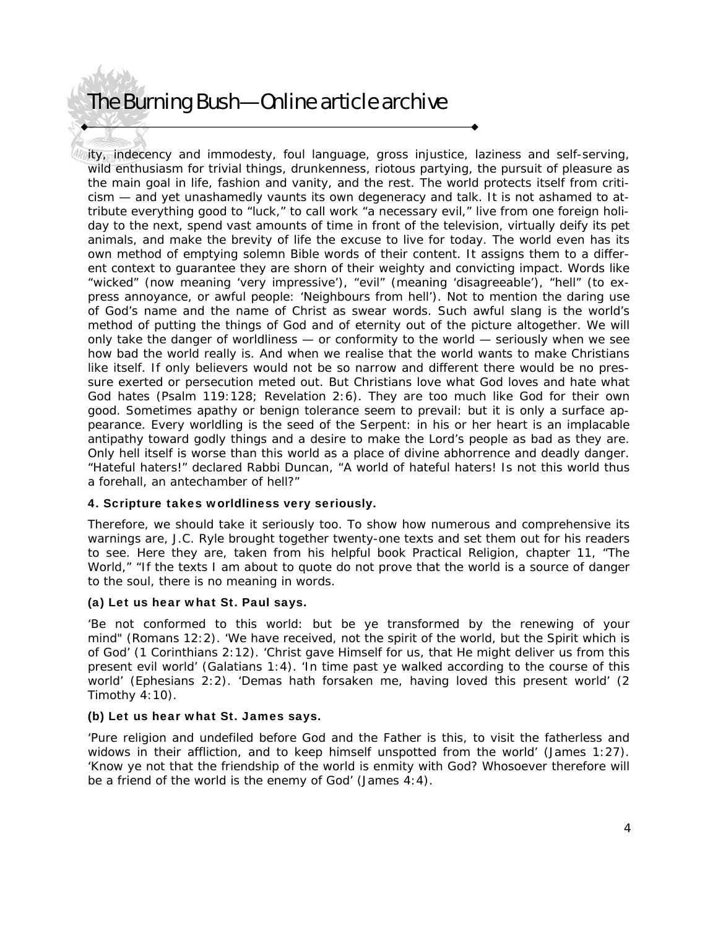ity, indecency and immodesty, foul language, gross injustice, laziness and self-serving, wild enthusiasm for trivial things, drunkenness, riotous partying, the pursuit of pleasure as the main goal in life, fashion and vanity, and the rest. The world protects itself from criticism — and yet unashamedly vaunts its own degeneracy and talk. It is not ashamed to attribute everything good to "luck," to call work "a necessary evil," live from one foreign holiday to the next, spend vast amounts of time in front of the television, virtually deify its pet animals, and make the brevity of life the excuse to live for today. The world even has its own method of emptying solemn Bible words of their content. It assigns them to a different context to guarantee they are shorn of their weighty and convicting impact. Words like "wicked" (now meaning 'very impressive'), "evil" (meaning 'disagreeable'), "hell" (to express annoyance, or awful people: 'Neighbours from hell'). Not to mention the daring use of God's name and the name of Christ as swear words. Such awful slang is the world's method of putting the things of God and of eternity out of the picture altogether. We will only take the danger of worldliness — or conformity to the world — seriously when we see how bad the world really is. And when we realise that the world wants to make Christians like itself. If only believers would not be so narrow and different there would be no pressure exerted or persecution meted out. But Christians love what God loves and hate what God hates (Psalm 119:128; Revelation 2:6). They are too much like God for their own good. Sometimes apathy or benign tolerance seem to prevail: but it is only a surface appearance. Every worldling is the seed of the Serpent: in his or her heart is an implacable antipathy toward godly things and a desire to make the Lord's people as bad as they are. Only hell itself is worse than this world as a place of divine abhorrence and deadly danger. "Hateful haters!" declared Rabbi Duncan, "A world of hateful haters! Is not this world thus a forehall, an antechamber of hell?"

### 4. Scripture takes worldliness very seriously.

Therefore, we should take it seriously too. To show how numerous and comprehensive its warnings are, J.C. Ryle brought together twenty-one texts and set them out for his readers to see. Here they are, taken from his helpful book Practical Religion, chapter 11, "The World," "If the texts I am about to quote do not prove that the world is a source of danger to the soul, there is no meaning in words.

### (a) Let us hear what St. Paul says.

'Be not conformed to this world: but be ye transformed by the renewing of your mind" (Romans 12:2). 'We have received, not the spirit of the world, but the Spirit which is of God' (1 Corinthians 2:12). 'Christ gave Himself for us, that He might deliver us from this present evil world' (Galatians 1:4). 'In time past ye walked according to the course of this world' (Ephesians 2:2). 'Demas hath forsaken me, having loved this present world' (2 Timothy 4:10).

#### (b) Let us hear what St. James says.

'Pure religion and undefiled before God and the Father is this, to visit the fatherless and widows in their affliction, and to keep himself unspotted from the world' (James 1:27). 'Know ye not that the friendship of the world is enmity with God? Whosoever therefore will be a friend of the world is the enemy of God' (James 4:4).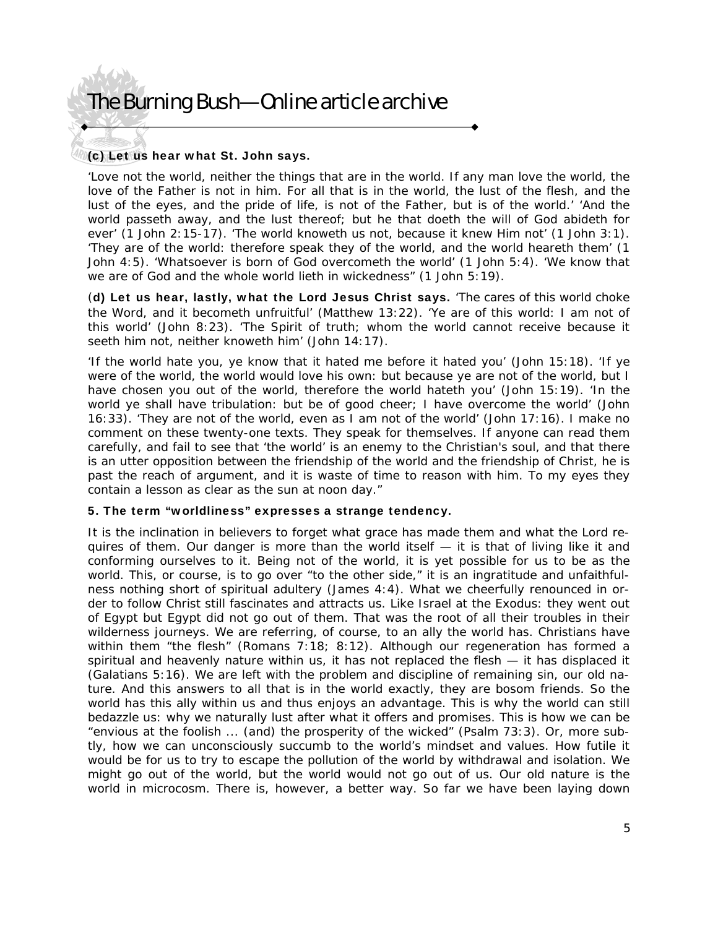### (c) Let us hear what St. John says.

'Love not the world, neither the things that are in the world. If any man love the world, the love of the Father is not in him. For all that is in the world, the lust of the flesh, and the lust of the eyes, and the pride of life, is not of the Father, but is of the world.' 'And the world passeth away, and the lust thereof; but he that doeth the will of God abideth for ever' (1 John 2:15-17). 'The world knoweth us not, because it knew Him not' (1 John 3:1). 'They are of the world: therefore speak they of the world, and the world heareth them' (1 John 4:5). 'Whatsoever is born of God overcometh the world' (1 John 5:4). 'We know that we are of God and the whole world lieth in wickedness" (1 John 5:19).

(d) Let us hear, lastly, what the Lord Jesus Christ says. 'The cares of this world choke the Word, and it becometh unfruitful' (Matthew 13:22). 'Ye are of this world: I am not of this world' (John 8:23). 'The Spirit of truth; whom the world cannot receive because it seeth him not, neither knoweth him' (John 14:17).

'If the world hate you, ye know that it hated me before it hated you' (John 15:18). 'If ye were of the world, the world would love his own: but because ye are not of the world, but I have chosen you out of the world, therefore the world hateth you' (John 15:19). 'In the world ye shall have tribulation: but be of good cheer; I have overcome the world' (John 16:33). 'They are not of the world, even as I am not of the world' (John 17:16). I make no comment on these twenty-one texts. They speak for themselves. If anyone can read them carefully, and fail to see that 'the world' is an enemy to the Christian's soul, and that there is an utter opposition between the friendship of the world and the friendship of Christ, he is past the reach of argument, and it is waste of time to reason with him. To my eyes they contain a lesson as clear as the sun at noon day."

#### 5. The term "worldliness" expresses a strange tendency.

It is the inclination in believers to forget what grace has made them and what the Lord requires of them. Our danger is more than the world itself — it is that of living like it and conforming ourselves to it. Being not of the world, it is yet possible for us to be as the world. This, or course, is to go over "to the other side," it is an ingratitude and unfaithfulness nothing short of spiritual adultery (James 4:4). What we cheerfully renounced in order to follow Christ still fascinates and attracts us. Like Israel at the Exodus: they went out of Egypt but Egypt did not go out of them. That was the root of all their troubles in their wilderness journeys. We are referring, of course, to an ally the world has. Christians have within them "the flesh" (Romans 7:18; 8:12). Although our regeneration has formed a spiritual and heavenly nature within us, it has not replaced the flesh — it has displaced it (Galatians 5:16). We are left with the problem and discipline of remaining sin, our old nature. And this answers to all that is in the world exactly, they are bosom friends. So the world has this ally within us and thus enjoys an advantage. This is why the world can still bedazzle us: why we naturally lust after what it offers and promises. This is how we can be "envious at the foolish ... (and) the prosperity of the wicked" (Psalm 73:3). Or, more subtly, how we can unconsciously succumb to the world's mindset and values. How futile it would be for us to try to escape the pollution of the world by withdrawal and isolation. We might go out of the world, but the world would not go out of us. Our old nature is the world in microcosm. There is, however, a better way. So far we have been laying down